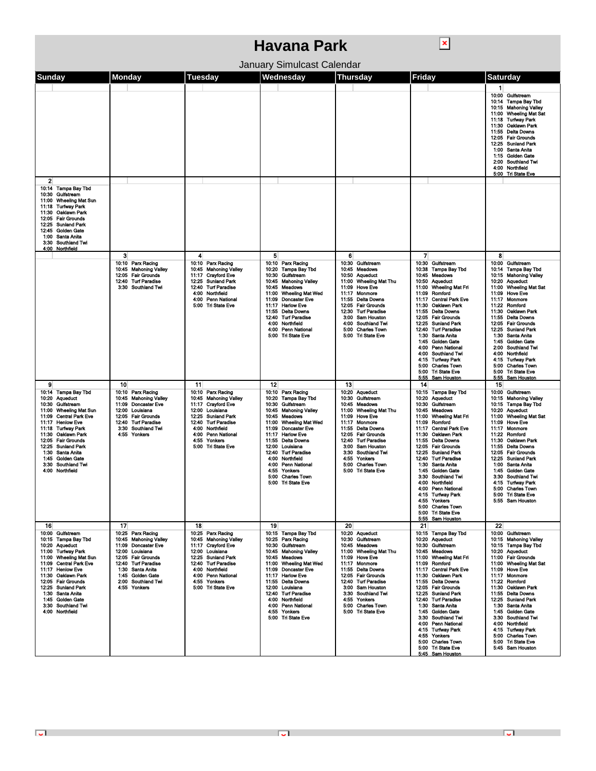| Havana Park                                                                                                                                                                                                                                                                                                                                                          |                                                                                                                                                                                                                       |                                                                                                                                                                                                                                                                                     |                                                                                                                                                                                                                                                                                                                                                                                                    |                                                                                                                                                                                                                                                                                                                                   |                                                                                                                                                                                                                                                                                                                                                                                                                                                                                                                                                                                                                  |                                                                                                                                                                                                                                                                                                                                                                                                                                                          |  |  |  |
|----------------------------------------------------------------------------------------------------------------------------------------------------------------------------------------------------------------------------------------------------------------------------------------------------------------------------------------------------------------------|-----------------------------------------------------------------------------------------------------------------------------------------------------------------------------------------------------------------------|-------------------------------------------------------------------------------------------------------------------------------------------------------------------------------------------------------------------------------------------------------------------------------------|----------------------------------------------------------------------------------------------------------------------------------------------------------------------------------------------------------------------------------------------------------------------------------------------------------------------------------------------------------------------------------------------------|-----------------------------------------------------------------------------------------------------------------------------------------------------------------------------------------------------------------------------------------------------------------------------------------------------------------------------------|------------------------------------------------------------------------------------------------------------------------------------------------------------------------------------------------------------------------------------------------------------------------------------------------------------------------------------------------------------------------------------------------------------------------------------------------------------------------------------------------------------------------------------------------------------------------------------------------------------------|----------------------------------------------------------------------------------------------------------------------------------------------------------------------------------------------------------------------------------------------------------------------------------------------------------------------------------------------------------------------------------------------------------------------------------------------------------|--|--|--|
| January Simulcast Calendar                                                                                                                                                                                                                                                                                                                                           |                                                                                                                                                                                                                       |                                                                                                                                                                                                                                                                                     |                                                                                                                                                                                                                                                                                                                                                                                                    |                                                                                                                                                                                                                                                                                                                                   |                                                                                                                                                                                                                                                                                                                                                                                                                                                                                                                                                                                                                  |                                                                                                                                                                                                                                                                                                                                                                                                                                                          |  |  |  |
| Sunday                                                                                                                                                                                                                                                                                                                                                               | <b>Monday</b>                                                                                                                                                                                                         | <b>Tuesday</b>                                                                                                                                                                                                                                                                      | Wednesday                                                                                                                                                                                                                                                                                                                                                                                          | <b>Thursday</b>                                                                                                                                                                                                                                                                                                                   | Friday                                                                                                                                                                                                                                                                                                                                                                                                                                                                                                                                                                                                           | Saturday                                                                                                                                                                                                                                                                                                                                                                                                                                                 |  |  |  |
|                                                                                                                                                                                                                                                                                                                                                                      |                                                                                                                                                                                                                       |                                                                                                                                                                                                                                                                                     |                                                                                                                                                                                                                                                                                                                                                                                                    |                                                                                                                                                                                                                                                                                                                                   |                                                                                                                                                                                                                                                                                                                                                                                                                                                                                                                                                                                                                  | 1<br>10:00 Gulfstream<br>10:14 Tampa Bay Tbd<br>10:15 Mahoning Valley<br>11:00 Wheeling Mat Sat<br>11:18 Turfway Park<br>11:30 Oaklawn Park<br>11:55 Delta Downs<br>12:05 Fair Grounds<br>12:25 Sunland Park<br>1:00 Santa Anita<br>1:15 Golden Gate<br>2:00 Southland Twi<br>4:00 Northfield<br>5:00 Tri State Eve                                                                                                                                      |  |  |  |
| $\overline{2}$<br>10:14 Tampa Bay Tbd<br>10:30 Gulfstream<br><b>Wheeling Mat Sun</b><br>11:00<br>11:18<br><b>Turtway Park</b><br>11:30<br>Oaklawn Park<br><b>Fair Grounds</b><br>12:05<br>12:25<br><b>Sunland Park</b><br>Golden Gate<br>12:45<br>1:00 Santa Anita<br>3:30 Southland Twi<br>4:00 Northfield                                                          |                                                                                                                                                                                                                       |                                                                                                                                                                                                                                                                                     |                                                                                                                                                                                                                                                                                                                                                                                                    |                                                                                                                                                                                                                                                                                                                                   |                                                                                                                                                                                                                                                                                                                                                                                                                                                                                                                                                                                                                  |                                                                                                                                                                                                                                                                                                                                                                                                                                                          |  |  |  |
|                                                                                                                                                                                                                                                                                                                                                                      | 3<br>10:10 Parx Racing<br>10:45 Mahoning Valley<br>12:05 Fair Grounds<br>12:40 Turf Paradise<br>3:30<br>Southland Twi                                                                                                 | 4<br>10:10<br>Parx Racing<br>10:45<br><b>Mahoning Valley</b><br><b>Crayford Eve</b><br>11:17<br><b>Sunland Park</b><br>12:25<br>12:40<br><b>Turf Paradise</b><br>Northfield<br>4:00<br><b>Penn National</b><br>4:00<br>5:00<br><b>Tri State Eve</b>                                 | 5<br>10:10 Parx Racing<br>10:20 Tampa Bay Tbd<br>10:30<br>Gulfstream<br><b>Mahoning Valley</b><br>10:45<br>10:45 Meadows<br>11:00<br><b>Wheeling Mat Wed</b><br>11:09<br><b>Doncaster Eve</b><br>11.17<br><b>Harlow Eve</b><br>11:55<br>Delta Downs<br>12:40 Turf Paradise<br>4:00<br>Northfield<br><b>Penn National</b><br>4:00<br>5:00 Tri State Eve                                             | 6<br>10:30 Gulfstream<br>10:45 Meadows<br>10:50<br><b>Aqueduct</b><br><b>Wheeling Mat Thu</b><br>11:00<br>11:09<br><b>Hove Eve</b><br>11:17<br>Monmore<br>11:55<br><b>Delta Downs</b><br>12.05 Fair Grounds<br>12:30<br><b>Turf Paradise</b><br>3:00 Sam Houston<br>4:00 Southland Twi<br>5:00 Charles Town<br>5:00 Tri State Eve | $\overline{\mathbf{z}}$<br>10:30<br>Gulfstream<br>10:38<br>Tampa Bay Tbd<br>10:45<br>Moadows<br>10:50<br><b>Aqueduct</b><br><b>Wheeling Mat Fri</b><br>11:00<br>Romford<br>11:09<br><b>Central Park Eve</b><br>11:17<br>Oaklawn Park<br>11:30<br>11:55<br>Delta Downs<br>12:05<br><b>Fair Grounds</b><br>12:25<br><b>Sunland Park</b><br><b>Turf Paradise</b><br>12:40<br>1:30<br>Santa Anita<br><b>Golden Gate</b><br>1:45<br>4:00<br><b>Penn National</b><br>4.00<br>Southland Twi<br><b>Turfway Park</b><br>4:15<br>5:00<br><b>Charles Town</b><br>5:00<br><b>Tri State Eve</b><br>5.55<br><b>Sam Houston</b> | 8<br>10:00 Gulfstream<br>10:14 Tampa Bay Tbd<br>10:15 Mahoning Valley<br>10:20 Aqueduct<br>11:00 Wheeling Mat Sat<br>11:09 Hove Eve<br>11:17<br><b>Monmore</b><br>11:22 Romford<br>11:30<br>Oaklawn Park<br>11:55 Delta Downs<br>12:05 Fair Grounds<br><b>Sunland Park</b><br>12:25<br>1:30 Santa Anita<br>1:45 Golden Gate<br>2:00 Southland Twi<br>4:00 Northfield<br>4:15 Turfway Park<br>5:00 Charles Town<br>5:00 Tri State Eve<br>5:55 Sam Houston |  |  |  |
| 9<br>10:14 Tampa Bay Tbd<br>10:20 Aqueduct<br>10:30 Guifstream<br><b>Wheeling Mat Sun</b><br>11:00<br><b>Central Park Eve</b><br>11:09<br>11:17<br><b>Honlow Eve</b><br>11.18 Turfway Park<br>11:30<br>Oaklawn Park<br><b>Fair Grounds</b><br>12:05<br>12:25<br><b>Sunland Park</b><br>1:30 Santa Anita<br>1:45 Golden Gate<br>3:30 Southland Twi<br>4:00 Northfield | 10<br>10:10 Parx Racing<br><b>Mahoning Valley</b><br>10:45<br><b>Doncaster Eve</b><br>11:09<br>12:00<br>Louisiana<br>12:05 Fair Grounds<br><b>Turf Paradise</b><br>12:40<br>3:30 Southland Twi<br>4:55<br>Yonkers     | 11<br>10:10<br>Parx Racing<br><b>Mahoning Valley</b><br>10:45<br><b>Crayford Eve</b><br>11:17<br>Louisiana<br>12:00<br><b>Sunland Park</b><br>12:25<br><b>Turf Paradise</b><br>12:40<br>4:00<br>Northfield<br>4:00<br><b>Penn National</b><br>4:55<br>Yonkers<br>5:00 Tri State Eve | 12<br>10:10 Parx Racing<br>10:20 Tampa Bay Tbd<br>10:30 Guifstream<br>10:45 Mahoning Valley<br>10:45<br>Meadows<br><b>Wheeling Mat Wed</b><br>11:00<br>11:09<br><b>Doncaster Eve</b><br>11:17<br><b>Harlow Eve</b><br><b>Delta Downs</b><br>11:55<br>12:00<br>Louisiana<br>12:40 Turf Paradise<br>4:00 Northfield<br>4:00 Penn National<br>4:55 Yonkers<br>5:00 Charles Town<br>5:00 Tri State Eve | 13<br>10:20 Aqueduct<br>Gulfstream<br>10:30<br>10:45 Meadows<br><b>Wheeling Mat Thu</b><br>11:00<br>11:09<br>Hove Eve<br>Monmore<br>11:17<br>11:55 Delta Downs<br>12:05 Fair Grounds<br>12:40 Turf Paradise<br>3:00 Sam Houston<br>3:30 Southland Twi<br>4:55<br>Yonkers<br>5:00 Charles Town<br>5:00 Tri State Eve               | 14<br>10:15<br><b>Tampa Bay Tbd</b><br>10:20<br><b>Aqueduct</b><br>Gulfstream<br>10:30<br>10:45<br><b>Moadows</b><br><b>Wheeling Mat Fri</b><br>11:00<br>11:09<br>Romford<br>11:17<br><b>Central Park Eve</b><br>Oaklawn Park<br>11:30<br>11:55<br><b>Delta Downs</b><br>12:05<br><b>Fair Grounds</b><br><b>Sunland Park</b><br>12:25<br>12.40<br><b>Turf Paradise</b><br>1:30<br>Santa Anita<br>1:45 Golden Gate<br>3:30 Southland Twi<br>4:00 Northfield<br>4:00 Penn National<br>4:15 Turfway Park<br>4:55 Yonkers<br><b>Charles Town</b><br>5:00<br>5:00 Tri State Eve<br>Sam Houston<br>5:55                | 15<br>10:00 Guifstream<br>10:15 Mahoning Valley<br>10:15 Tampa Bay Tbd<br>10:20 Aqueduct<br>11:00 Wheeling Mat Sat<br>11:09 Hove Eve<br>11:17<br>Monmore<br>11:22<br>Romford<br>Oaklawn Park<br>11:30<br>11:55 Delta Downs<br>12:05 Fair Grounds<br>12:25<br><b>Sunland Park</b><br>1:00 Santa Anita<br>1:45 Golden Gate<br>3:30 Southland Twi<br>4:15 Turfway Park<br>5:00 Charles Town<br>5:00 Tri State Eve<br>5:55 Sam Houston                       |  |  |  |
| 16<br>10:00 Gulfstream<br>10:15 Tampa Bay Tbd<br>10:20 Aqueduct<br>11:00 Turtway Park<br>11:00 Wheeling Mat Sun<br>11:09 Central Park Eve<br>11:17 Henlow Eve<br>11:30 Oaklawn Park<br>12:05 Fair Grounds<br>12:25 Sunland Park<br>1:30 Santa Anita<br>1:45 Golden Gate<br>3:30 Southland Twi<br>4:00 Northfield                                                     | 17<br>10:25 Parx Racing<br>10:45 Mahoning Valley<br>11:09 Doncaster Eve<br>12:00 Louisiana<br>12:05 Fair Grounds<br>12:40 Turf Paradise<br>1:30 Santa Anita<br>1:45 Golden Gate<br>2:00 Southland Twi<br>4:55 Yonkers | 18<br>10:25 Parx Racing<br>10:45 Mahoning Valley<br>11:17 Crayford Eve<br>12:00 Louisiana<br>12:25 Sunland Park<br>12:40 Turf Paradise<br>4:00 Northfield<br>4:00 Penn National<br>4:55 Yonkers<br>5:00 Tri State Eve                                                               | 19<br>10:15 Tampa Bay Tbd<br>10:25 Parx Racing<br>10:30 Gulfstream<br>10:45 Mahoning Valley<br>10:45 Meadows<br>11:00 Wheeling Mat Wed<br>11:09 Doncaster Eve<br>11:17 Harlow Eve<br>11:55 Delta Downs<br>12:00 Louisiana<br>12:40 Turf Paradise<br>4:00 Northfield<br>4:00 Penn National<br>4:55 Yonkers<br>5:00 Tri State Eve                                                                    | 20<br>10:20 Aqueduct<br>10:30 Gulfstream<br>10:45 Meadows<br>11:00 Wheeling Mat Thu<br>11:09 Hove Eve<br>11:17 Monmore<br>11:55 Delta Downs<br>12:05 Fair Grounds<br>12:40 Turf Paradise<br>3:00 Sam Houston<br>3:30 Southland Twi<br>4:55 Yonkers<br>5:00 Charles Town<br>5:00 Tri State Eve                                     | 21<br>10:15 Tampa Bay Tbd<br>10:20 Aqueduct<br>10:30 Gulfstream<br>10:45 Meadows<br>11:00 Wheeling Mat Fri<br>11:09 Romford<br>11:17 Central Park Eve<br>11:30 Oaklawn Park<br>11:55 Delta Downs<br>12:05 Fair Grounds<br>12:25 Sunland Park<br>12:40 Turf Paradise<br>1:30 Santa Anita<br>1:45 Golden Gate<br>3:30 Southland Twi<br>4:00 Penn National<br>4:15 Turfway Park<br>4:55 Yonkers<br>5:00 Charles Town<br>5:00 Tri State Eve<br>5:45 Sam Houston                                                                                                                                                      | 22<br>10:00 Gulfstream<br>10:15 Mahoning Valley<br>10:15 Tampa Bay Tbd<br>10:20 Aqueduct<br>11:00 Fair Grounds<br>11:00 Wheeling Mat Sat<br>11:09 Hove Eve<br>11:17 Monmore<br>11:22 Romford<br>11:30 Oaklawn Park<br>11:55 Delta Downs<br>12:25 Sunland Park<br>1:30 Santa Anita<br>1:45 Golden Gate<br>3:30 Southland Twi<br>4:00 Northfield<br>4:15 Turfway Park<br>5:00 Charles Town<br>5:00 Tri State Eve<br>5:45 Sam Houston                       |  |  |  |

**U** Production